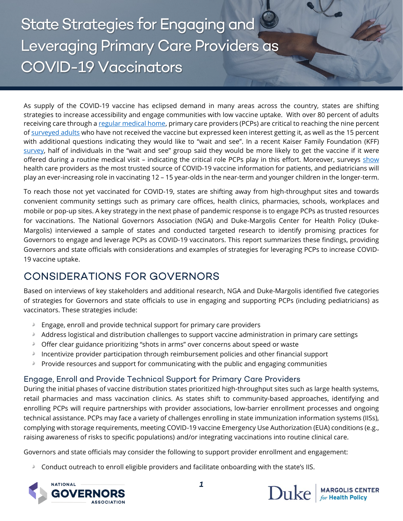# State Strategies for Engaging and Leveraging Primary Care Providers as **COVID-19 Vaccinators**

As supply of the COVID-19 vaccine has eclipsed demand in many areas across the country, states are shifting strategies to increase accessibility and engage communities with low vaccine uptake. With over 80 percent of adults receiving care through a [regular medical home,](https://www.cdc.gov/mmwr/volumes/69/wr/mm6905a6.htm) primary care providers (PCPs) are critical to reaching the nine percent of [surveyed adults](https://www.kff.org/coronavirus-covid-19/press-release/vaccine-monitor-eagerness-to-get-vaccinated-begins-to-level-off-as-most-people-who-want-a-vaccine-have-gotten-one-but-republicans-show-biggest-shift-toward-vaccination/) who have not received the vaccine but expressed keen interest getting it, as well as the 15 percent with additional questions indicating they would like to "wait and see". In a recent Kaiser Family Foundation (KFF) [survey,](https://www.kff.org/coronavirus-covid-19/poll-finding/kff-covid-19-vaccine-monitor-march-2021/#:~:text=We%20find%20there%20is%20a,during%20a%20routine%20medical%20appointment) half of individuals in the "wait and see" group said they would be more likely to get the vaccine if it were offered during a routine medical visit – indicating the critical role PCPs play in this effort. Moreover, surveys [show](https://www.kff.org/coronavirus-covid-19/report/kff-covid-19-vaccine-monitor-december-2020/) health care providers as the most trusted source of COVID-19 vaccine information for patients, and pediatricians will play an ever-increasing role in vaccinating 12 – 15 year-olds in the near-term and younger children in the longer-term.

To reach those not yet vaccinated for COVID-19, states are shifting away from high-throughput sites and towards convenient community settings such as primary care offices, health clinics, pharmacies, schools, workplaces and mobile or pop-up sites. A key strategy in the next phase of pandemic response is to engage PCPs as trusted resources for vaccinations. The National Governors Association (NGA) and Duke-Margolis Center for Health Policy (Duke-Margolis) interviewed a sample of states and conducted targeted research to identify promising practices for Governors to engage and leverage PCPs as COVID-19 vaccinators. This report summarizes these findings, providing Governors and state officials with considerations and examples of strategies for leveraging PCPs to increase COVID-19 vaccine uptake.

# **CONSIDERATIONS FOR GOVERNORS**

Based on interviews of key stakeholders and additional research, NGA and Duke-Margolis identified five categories of strategies for Governors and state officials to use in engaging and supporting PCPs (including pediatricians) as vaccinators. These strategies include:

- ä. Engage, enroll and provide technical support for primary care providers
- Address logistical and distribution challenges to support vaccine administration in primary care settings
- à. Offer clear guidance prioritizing "shots in arms" over concerns about speed or waste
- ä. Incentivize provider participation through reimbursement policies and other financial support
- ä. Provide resources and support for communicating with the public and engaging communities

## Engage, Enroll and Provide Technical Support for Primary Care Providers

During the initial phases of vaccine distribution states prioritized high-throughput sites such as large health systems, retail pharmacies and mass vaccination clinics. As states shift to community-based approaches, identifying and enrolling PCPs will require partnerships with provider associations, low-barrier enrollment processes and ongoing technical assistance. PCPs may face a variety of challenges enrolling in state immunization information systems (IISs), complying with storage requirements, meeting COVID-19 vaccine Emergency Use Authorization (EUA) conditions (e.g., raising awareness of risks to specific populations) and/or integrating vaccinations into routine clinical care.

Governors and state officials may consider the following to support provider enrollment and engagement:

Conduct outreach to enroll eligible providers and facilitate onboarding with the state's IIS.





 $\mathbf{1}$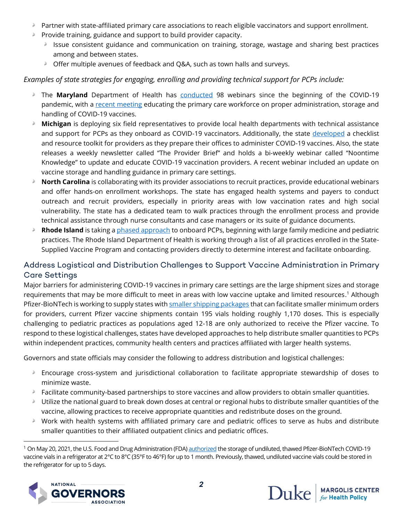- ä. Partner with state-affiliated primary care associations to reach eligible vaccinators and support enrollment.
- ä. Provide training, guidance and support to build provider capacity.
	- Issue consistent guidance and communication on training, storage, wastage and sharing best practices among and between states.
	- **Deffer multiple avenues of feedback and Q&A, such as town halls and surveys.**

#### *Examples of state strategies for engaging, enrolling and providing technical support for PCPs include:*

- The **Maryland** Department of Health has [conducted](https://health.maryland.gov/mdpcp/Pages/Archive.aspx) 98 webinars since the beginning of the COVID-19 à. pandemic, with a [recent meeting](https://health.maryland.gov/mdpcp/Documents/Covid%20update%203-17-21.pdf) educating the primary care workforce on proper administration, storage and handling of COVID-19 vaccines.
- à. **Michigan** is deploying six field representatives to provide local health departments with technical assistance and support for PCPs as they onboard as COVID-19 vaccinators. Additionally, the state [developed](https://www.michigan.gov/documents/mdhhs/COVID-19_Vaccine_Clinic_Preparation_Checklist_and_Resource_Toolkit_-_FINAL_720581_7.pdf) a checklist and resource toolkit for providers as they prepare their offices to administer COVID-19 vaccines. Also, the state releases a weekly newsletter called "The Provider Brief" and holds a bi-weekly webinar called "Noontime Knowledge" to update and educate COVID-19 vaccination providers. A recent webinar included an update on vaccine storage and handling guidance in primary care settings.
- $\geqslant$ **North Carolina** is collaborating with its provider associations to recruit practices, provide educational webinars and offer hands-on enrollment workshops. The state has engaged health systems and payers to conduct outreach and recruit providers, especially in priority areas with low vaccination rates and high social vulnerability. The state has a dedicated team to walk practices through the enrollment process and provide technical assistance through nurse consultants and case managers or its suite of guidance documents.
- $\geqslant$ **Rhode Island** is taking [a phased approach](https://us2.campaign-archive.com/?u=ece9b1661b3bf3b864a6894d1&id=b24db98a60) to onboard PCPs, beginning with large family medicine and pediatric practices. The Rhode Island Department of Health is working through a list of all practices enrolled in the State-Supplied Vaccine Program and contacting providers directly to determine interest and facilitate onboarding.

# Address Logistical and Distribution Challenges to Support Vaccine Administration in Primary **Care Settings**

Major barriers for administering COVID-19 vaccines in primary care settings are the large shipment sizes and storage requirements that may be more difficult to meet in areas with low vaccine uptake and limited resources. <sup>1</sup> Although Pfizer-BioNTech is working to supply states with [smaller shipping packages](https://www.axios.com/pfizer-covid-vaccine-packaging-demand-decreases-2d3775b6-dd22-4c31-9007-fcd06e31b703.html) that can facilitate smaller minimum orders for providers, current Pfizer vaccine shipments contain 195 vials holding roughly 1,170 doses. This is especially challenging to pediatric practices as populations aged 12-18 are only authorized to receive the Pfizer vaccine. To respond to these logistical challenges, states have developed approaches to help distribute smaller quantities to PCPs within independent practices, community health centers and practices affiliated with larger health systems.

Governors and state officials may consider the following to address distribution and logistical challenges:

- à. Encourage cross-system and jurisdictional collaboration to facilitate appropriate stewardship of doses to minimize waste.
- Facilitate community-based partnerships to store vaccines and allow providers to obtain smaller quantities.
- λ. Utilize the national guard to break down doses at central or regional hubs to distribute smaller quantities of the vaccine, allowing practices to receive appropriate quantities and redistribute doses on the ground.
- à. Work with health systems with affiliated primary care and pediatric offices to serve as hubs and distribute smaller quantities to their affiliated outpatient clinics and pediatric offices.

<sup>&</sup>lt;sup>1</sup> On May 20, 2021, the U.S. Food and Drug Administration (FDA[\) authorized](https://lnks.gd/l/eyJhbGciOiJIUzI1NiJ9.eyJidWxsZXRpbl9saW5rX2lkIjoxMDMsInVyaSI6ImJwMjpjbGljayIsImJ1bGxldGluX2lkIjoiMjAyMTA1MjAuNDA4MDY1MjEiLCJ1cmwiOiJodHRwczovL3d3dy5mZGEuZ292L21lZGlhLzE0NDQxMy9kb3dubG9hZD91dG1fbWVkaXVtPWVtYWlsJnV0bV9zb3VyY2U9Z292ZGVsaXZlcnkifQ.Z1WTcEFc7NnZWEkMSfwC3g2Wa5mFBe38dqzdEK5txnw/s/1255969667/br/106698929525-l) the storage of undiluted, thawed Pfizer-BioNTech COVID-19 vaccine vials in a refrigerator at 2°C to 8°C (35°F to 46°F) for up to 1 month. Previously, thawed, undiluted vaccine vials could be stored in the refrigerator for up to 5 days.



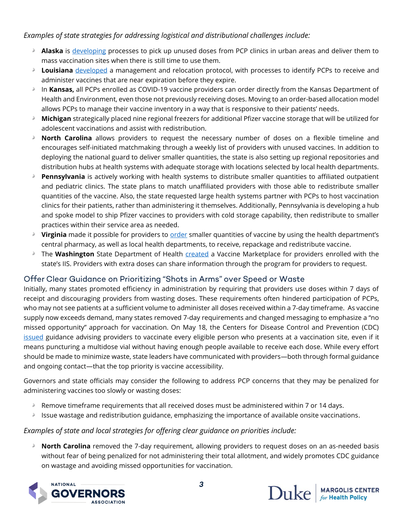#### *Examples of state strategies for addressing logistical and distributional challenges include:*

- **Alaska** is [developing](https://www.wsj.com/articles/getting-more-people-vaccinated-against-covid-19-means-wasting-doses-11621594802) processes to pick up unused doses from PCP clinics in urban areas and deliver them to mass vaccination sites when there is still time to use them.
- ä. **Louisiana** [developed](https://ldh.la.gov/assets/oph/Center-PHCH/Center-PH/immunizations/Protocol_RelocatingexpiringCOVID-19doses.pdf) a management and relocation protocol, with processes to identify PCPs to receive and administer vaccines that are near expiration before they expire.
- ä. In **Kansas,** all PCPs enrolled as COVID-19 vaccine providers can order directly from the Kansas Department of Health and Environment, even those not previously receiving doses. Moving to an order-based allocation model allows PCPs to manage their vaccine inventory in a way that is responsive to their patients' needs.
- ä. **Michigan** strategically placed nine regional freezers for additional Pfizer vaccine storage that will be utilized for adolescent vaccinations and assist with redistribution.
- à. **North Carolina** allows providers to request the necessary number of doses on a flexible timeline and encourages self-initiated matchmaking through a weekly list of providers with unused vaccines. In addition to deploying the national guard to deliver smaller quantities, the state is also setting up regional repositories and distribution hubs at health systems with adequate storage with locations selected by local health departments.
- **Pennsylvania** is actively working with health systems to distribute smaller quantities to affiliated outpatient and pediatric clinics. The state plans to match unaffiliated providers with those able to redistribute smaller quantities of the vaccine. Also, the state requested large health systems partner with PCPs to host vaccination clinics for their patients, rather than administering it themselves. Additionally, Pennsylvania is developing a hub and spoke model to ship Pfizer vaccines to providers with cold storage capability, then redistribute to smaller practices within their service area as needed.
- **Virginia** made it possible for providers to [order](https://www.vdh.virginia.gov/content/uploads/sites/182/2021/05/04-30-21_Tele-press_COVID-19vaccine_transcript.pdf) smaller quantities of vaccine by using the health department's central pharmacy, as well as local health departments, to receive, repackage and redistribute vaccine.
- The **Washington** State Department of Health [created](https://www.doh.wa.gov/Newsroom/Articles/ID/2793/COVID-19-vaccine-distribution-update-from-the-Washington-State-Department-of-Health) a Vaccine Marketplace for providers enrolled with the à. state's IIS. Providers with extra doses can share information through the program for providers to request.

#### Offer Clear Guidance on Prioritizing "Shots in Arms" over Speed or Waste

Initially, many states promoted efficiency in administration by requiring that providers use doses within 7 days of receipt and discouraging providers from wasting doses. These requirements often hindered participation of PCPs, who may not see patients at a sufficient volume to administer all doses received within a 7-day timeframe. As vaccine supply now exceeds demand, many states removed 7-day requirements and changed messaging to emphasize a "no missed opportunity" approach for vaccination. On May 18, the Centers for Disease Control and Prevention (CDC) [issued](https://www.cdc.gov/vaccines/covid-19/downloads/wastage-operational-summary.pdf) guidance advising providers to vaccinate every eligible person who presents at a vaccination site, even if it means puncturing a multidose vial without having enough people available to receive each dose. While every effort should be made to minimize waste, state leaders have communicated with providers—both through formal guidance and ongoing contact—that the top priority is vaccine accessibility.

Governors and state officials may consider the following to address PCP concerns that they may be penalized for administering vaccines too slowly or wasting doses:

- Remove timeframe requirements that all received doses must be administered within 7 or 14 days. ä.
- à. Issue wastage and redistribution guidance, emphasizing the importance of available onsite vaccinations.

#### *Examples of state and local strategies for offering clear guidance on priorities include:*

**North Carolina** removed the 7-day requirement, allowing providers to request doses on an as-needed basis ä. without fear of being penalized for not administering their total allotment, and widely promotes CDC guidance on wastage and avoiding missed opportunities for vaccination.



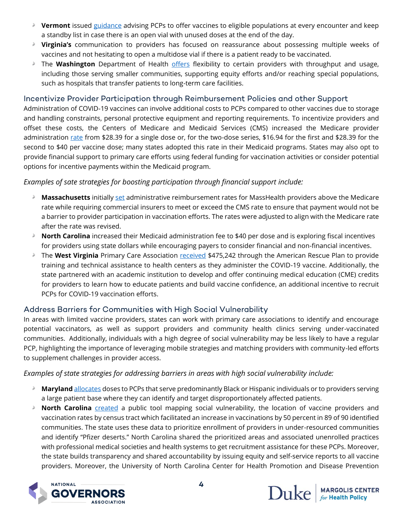- **Vermont** issued [guidance](https://www.healthvermont.gov/sites/default/files/documents/pdf/COVID19-Vaccine-Minimize-Waste-Policy.pdf) advising PCPs to offer vaccines to eligible populations at every encounter and keep a standby list in case there is an open vial with unused doses at the end of the day.
- **Virginia's** communication to providers has focused on reassurance about possessing multiple weeks of vaccines and not hesitating to open a multidose vial if there is a patient ready to be vaccinated.
- à. The **Washington** Department of Health [offers](https://www.doh.wa.gov/Newsroom/Articles/ID/2764/Vaccine-allocation-strategy-moving-to-provider-need-based-approach) flexibility to certain providers with throughput and usage, including those serving smaller communities, supporting equity efforts and/or reaching special populations, such as hospitals that transfer patients to long-term care facilities.

#### Incentivize Provider Participation through Reimbursement Policies and other Support

Administration of COVID-19 vaccines can involve additional costs to PCPs compared to other vaccines due to storage and handling constraints, personal protective equipment and reporting requirements. To incentivize providers and offset these costs, the Centers of Medicare and Medicaid Services (CMS) increased the Medicare provider administration [rate](https://www.cms.gov/medicare/covid-19/medicare-covid-19-vaccine-shot-payment) from \$28.39 for a single dose or, for the two-dose series, \$16.94 for the first and \$28.39 for the second to \$40 per vaccine dose; many states adopted this rate in their Medicaid programs. States may also opt to provide financial support to primary care efforts using federal funding for vaccination activities or consider potential options for incentive payments within the Medicaid program.

#### *Examples of sate strategies for boosting participation through financial support include:*

- ä. **Massachusetts** initially [set](https://www.mass.gov/news/baker-polito-administration-announces-covid-19-vaccine-payment-rate-updates-authorizing-of-additional-individuals-to-administer-covid-19-vaccinations) administrative reimbursement rates for MassHealth providers above the Medicare rate while requiring commercial insurers to meet or exceed the CMS rate to ensure that payment would not be a barrier to provider participation in vaccination efforts. The rates were adjusted to align with the Medicare rate after the rate was revised.
- ä. **North Carolina** increased their Medicaid administration fee to \$40 per dose and is exploring fiscal incentives for providers using state dollars while encouraging payers to consider financial and non-financial incentives.
- à. The **West Virginia** Primary Care Association [received](https://www.manchin.senate.gov/newsroom/press-releases/manchin-announces-475k-from-american-rescue-plan-to-support-west-virginia-health-centers) \$475,242 through the American Rescue Plan to provide training and technical assistance to health centers as they administer the COVID-19 vaccine. Additionally, the state partnered with an academic institution to develop and offer continuing medical education (CME) credits for providers to learn how to educate patients and build vaccine confidence, an additional incentive to recruit PCPs for COVID-19 vaccination efforts.

## Address Barriers for Communities with High Social Vulnerability

In areas with limited vaccine providers, states can work with primary care associations to identify and encourage potential vaccinators, as well as support providers and community health clinics serving under-vaccinated communities. Additionally, individuals with a high degree of social vulnerability may be less likely to have a regular PCP, highlighting the importance of leveraging mobile strategies and matching providers with community-led efforts to supplement challenges in provider access.

#### *Examples of state strategies for addressing barriers in areas with high social vulnerability include:*

- à. **Maryland** [allocates](https://www.washingtonpost.com/local/coronavirus-vaccine-maryland-doctors/2021/03/29/d899987c-8d80-11eb-a6bd-0eb91c03305a_story.html) doses to PCPs that serve predominantly Black or Hispanic individuals or to providers serving a large patient base where they can identify and target disproportionately affected patients.
- ä. **North Carolina** [created](https://urldefense.com/v3/__https:/ncdhhs.us4.list-manage.com/track/click?u=58ec19aaea4630b1baad0e5e4&id=74a3310e13&e=4e4fea10bd__;!!OToaGQ!4Uc5MIa_AQo_9pTkEOngF1ogkTRAeR-ulkA4p80f5AT6fbriwetZt1EdZGbP4Tx2kC0$) a public tool mapping social vulnerability, the location of vaccine providers and vaccination rates by census tract which facilitated an increase in vaccinations by 50 percent in 89 of 90 identified communities. The state uses these data to prioritize enrollment of providers in under-resourced communities and identify "Pfizer deserts." North Carolina shared the prioritized areas and associated unenrolled practices with professional medical societies and health systems to get recruitment assistance for these PCPs. Moreover, the state builds transparency and shared accountability by issuing equity and self-service reports to all vaccine providers. Moreover, the University of North Carolina Center for Health Promotion and Disease Prevention



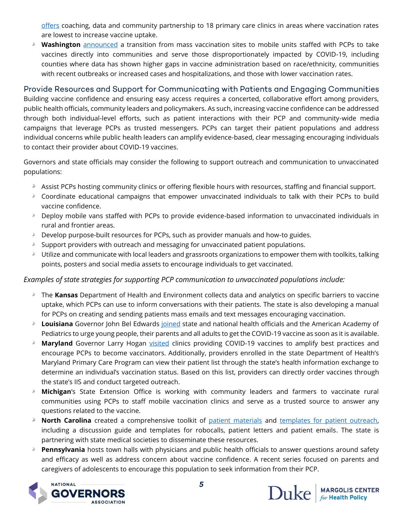[offers](https://www.unc.edu/posts/2021/05/17/unc-chapel-hill-helps-expand-covid-19-vaccination-to-doctors-offices/?utm_campaign=051721+UNC+Expands+Vaccination+to+Doctor+Offices&utm_medium=bitly&utm_source=LinkedIn) coaching, data and community partnership to 18 primary care clinics in areas where vaccination rates are lowest to increase vaccine uptake.

ä. **Washington** [announced](https://www.doh.wa.gov/Newsroom/Articles/ID/2795/States-vaccine-outreach-shifts-from-mass-vaccination-sites-to-mobile-vaccination-clinics) a transition from mass vaccination sites to mobile units staffed with PCPs to take vaccines directly into communities and serve those disproportionately impacted by COVID-19, including counties where data has shown higher gaps in vaccine administration based on race/ethnicity, communities with recent outbreaks or increased cases and hospitalizations, and those with lower vaccination rates.

### Provide Resources and Support for Communicating with Patients and Engaging Communities

Building vaccine confidence and ensuring easy access requires a concerted, collaborative effort among providers, public health officials, community leaders and policymakers. As such, increasing vaccine confidence can be addressed through both individual-level efforts, such as patient interactions with their PCP and community-wide media campaigns that leverage PCPs as trusted messengers. PCPs can target their patient populations and address individual concerns while public health leaders can amplify evidence-based, clear messaging encouraging individuals to contact their provider about COVID-19 vaccines.

Governors and state officials may consider the following to support outreach and communication to unvaccinated populations:

- Assist PCPs hosting community clinics or offering flexible hours with resources, staffing and financial support.
- Coordinate educational campaigns that empower unvaccinated individuals to talk with their PCPs to build vaccine confidence.
- ä. Deploy mobile vans staffed with PCPs to provide evidence-based information to unvaccinated individuals in rural and frontier areas.
- **Develop purpose-built resources for PCPs, such as provider manuals and how-to guides.**
- ä. Support providers with outreach and messaging for unvaccinated patient populations.
- à. Utilize and communicate with local leaders and grassroots organizations to empower them with toolkits, talking points, posters and social media assets to encourage individuals to get vaccinated.

#### *Examples of state strategies for supporting PCP communication to unvaccinated populations include:*

- The **Kansas** Department of Health and Environment collects data and analytics on specific barriers to vaccine uptake, which PCPs can use to inform conversations with their patients. The state is also developing a manual for PCPs on creating and sending patients mass emails and text messages encouraging vaccination.
- ä. **Louisiana** Governor John Bel Edwards [joined](https://ldh.la.gov/assets/oph/Center-PHCH/Center-PH/immunizations/Newsletter/ImmunizationNewsletter_5.19.21_No15.pdf) state and national health officials and the American Academy of Pediatrics to urge young people, their parents and all adults to get the COVID-19 vaccine as soon as it is available.
- **Maryland** Governor Larry Hogan [visited](https://governor.maryland.gov/2021/03/25/photo-release-governor-hogan-visits-frederick-family-practice-in-states-primary-care-vaccination-program/) clinics providing COVID-19 vaccines to amplify best practices and encourage PCPs to become vaccinators. Additionally, providers enrolled in the state Department of Health's Maryland Primary Care Program can view their patient list through the state's health information exchange to determine an individual's vaccination status. Based on this list, providers can directly order vaccines through the state's IIS and conduct targeted outreach.
- **Michigan**'s State Extension Office is working with community leaders and farmers to vaccinate rural communities using PCPs to staff mobile vaccination clinics and serve as a trusted source to answer any questions related to the vaccine.
- **North Carolina** created a comprehensive toolkit of [patient materials](https://thesocialpresskit.com/you-have-a-spot-take-your-shot#you-have-a-spot-take-your-shot--flyers) and [templates for patient outreach,](https://thesocialpresskit.com/you-have-a-spot-take-your-shot#bring-summer-back-partner-toolkit--doctor-toolkit) including a discussion guide and templates for robocalls, patient letters and patient emails. The state is partnering with state medical societies to disseminate these resources.
- ä. **Pennsylvania** hosts town halls with physicians and public health officials to answer questions around safety and efficacy as well as address concern about vaccine confidence. A recent series focused on parents and caregivers of adolescents to encourage this population to seek information from their PCP.